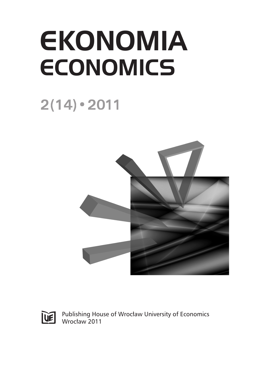## **EKONOMIA ECONOMICS**

## $2(14) \cdot 2011$





Publishing House of Wrocław University of Economics Wrocław 2011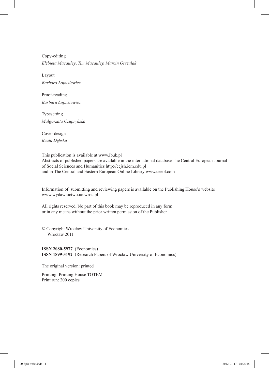Copy-editing *Elżbieta Macauley*, *Tim Macauley, Marcin Orszulak*

Layout *Barbara Łopusiewicz*

Proof-reading *Barbara Łopusiewicz*

Typesetting *Małgorzata Czupryńska*

Cover design *Beata Dębska*

This publication is available at www.ibuk.pl Abstracts of published papers are available in the international database The Central European Journal of Social Sciences and Humanities http://cejsh.icm.edu.pl and in The Central and Eastern European Online Library www.ceeol.com

Information of submitting and reviewing papers is available on the Publishing House's website www.wydawnictwo.ue.wroc.pl

All rights reserved. No part of this book may be reproduced in any form or in any means without the prior written permission of the Publisher

© Copyright Wrocław University of Economics Wrocław 2011

**ISSN 2080-5977** (Economics) **ISSN 1899-3192** (Research Papers of Wrocław University of Economics)

The original version: printed

Printing: Printing House TOTEM Print run: 200 copies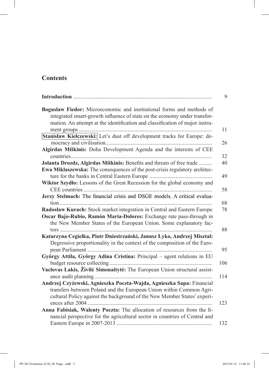## **Contents**

|                                                                                                                                                                                                                                    | 9        |
|------------------------------------------------------------------------------------------------------------------------------------------------------------------------------------------------------------------------------------|----------|
| Bogusław Fiedor: Microeconomic and institutional forms and methods of<br>integrated smart-growth influence of state on the economy under transfor-<br>mation. An attempt at the identification and classification of major instru- | 11       |
| Stanisław Kiełczewski: Let's dust off development tracks for Europe: de-                                                                                                                                                           |          |
|                                                                                                                                                                                                                                    | 26       |
| Algirdas Miškinis: Doha Development Agenda and the interests of CEE                                                                                                                                                                |          |
|                                                                                                                                                                                                                                    | 32       |
| Jolanta Drozdz, Algirdas Miškinis: Benefits and threats of free trade<br>Ewa Miklaszewska: The consequences of the post-crisis regulatory architec-                                                                                | 40<br>49 |
| Wiktor Szydło: Lessons of the Great Recession for the global economy and                                                                                                                                                           |          |
|                                                                                                                                                                                                                                    | 58       |
| Jerzy Stelmach: The financial crisis and DSGE models. A critical evalua-                                                                                                                                                           |          |
|                                                                                                                                                                                                                                    | 68       |
| Radosław Kurach: Stock market integration in Central and Eastern Europe                                                                                                                                                            | 78       |
| Oscar Bajo-Rubio, Ramón María-Dolores: Exchange rate pass-through in<br>the New Member States of the European Union. Some explanatory fac-                                                                                         | 88       |
| Katarzyna Cegiełka, Piotr Dniestrzański, Janusz Łyko, Andrzej Misztal:                                                                                                                                                             |          |
| Degressive proportionality in the context of the composition of the Euro-                                                                                                                                                          | 95       |
| György Attila, György Adina Cristina: Principal - agent relations in EU                                                                                                                                                            |          |
|                                                                                                                                                                                                                                    | 106      |
| Vaclovas Lakis, Živilė Simonaitytė: The European Union structural assist-                                                                                                                                                          | 114      |
| Andrzej Czyżewski, Agnieszka Poczta-Wajda, Agnieszka Sapa: Financial                                                                                                                                                               |          |
| transfers between Poland and the European Union within Common Agri-<br>cultural Policy against the background of the New Member States' experi-                                                                                    | 123      |
| Anna Fabisiak, Walenty Poczta: The allocation of resources from the fi-                                                                                                                                                            |          |
| nancial perspective for the agricultural sector in countries of Central and                                                                                                                                                        | 132      |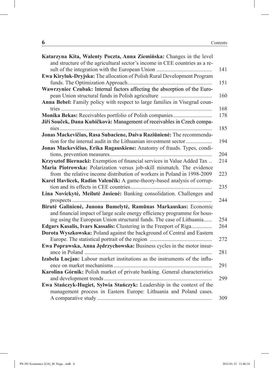| Katarzyna Kita, Walenty Poczta, Anna Ziemińska: Changes in the level        |     |
|-----------------------------------------------------------------------------|-----|
| and structure of the agricultural sector's income in CEE countries as a re- |     |
|                                                                             | 141 |
| Ewa Kiryluk-Dryjska: The allocation of Polish Rural Development Program     |     |
|                                                                             | 151 |
| Wawrzyniec Czubak: Internal factors affecting the absorption of the Euro-   |     |
|                                                                             | 160 |
| Anna Bebel: Family policy with respect to large families in Visegrad coun-  |     |
|                                                                             | 168 |
|                                                                             | 178 |
| Jiří Souček, Dana Kubičkovà: Management of receivables in Czech compa-      |     |
|                                                                             | 185 |
| Jonas Mackevičius, Rasa Subaciene, Daiva Raziūnienė: The recommenda-        |     |
| tion for the internal audit in the Lithuanian investment sector             | 194 |
| Jonas Mackevičius, Erika Ragauskiene: Anatomy of frauds. Types, condi-      |     |
|                                                                             | 204 |
| Krzysztof Biernacki: Exemption of financial services in Value Added Tax     | 214 |
| Maria Piotrowska: Polarization versus job-skill mismatch. The evidence      |     |
| from the relative income distribution of workers in Poland in 1998-2009     | 223 |
| Karel Havlicek, Radim Valenčík: A game-theory-based analysis of corrup-     |     |
|                                                                             | 235 |
| Lina Novickytė, Meilutė Jasienė: Banking consolidation. Challenges and      |     |
|                                                                             | 244 |
| Birutė Galinienė, Junona Bumelytė, Ramūnas Markauskas: Economic             |     |
| and financial impact of large scale energy efficiency programme for hous-   |     |
| ing using the European Union structural funds. The case of Lithuania        | 254 |
| Edgars Kasalis, Ivars Kassalis: Clustering in the Freeport of Riga          | 264 |
| Dorota Wyszkowska: Poland against the background of Central and Eastern     |     |
|                                                                             | 272 |
| Ewa Poprawska, Anna Jędrzychowska: Business cycles in the motor insur-      |     |
|                                                                             | 281 |
| Izabela Łucjan: Labour market institutions as the instruments of the influ- |     |
|                                                                             | 291 |
| Karolina Górnik: Polish market of private banking. General characteristics  |     |
|                                                                             | 299 |
| Ewa Stańczyk-Hugiet, Sylwia Stańczyk: Leadership in the context of the      |     |
| management process in Eastern Europe: Lithuania and Poland cases.           |     |
|                                                                             | 309 |
|                                                                             |     |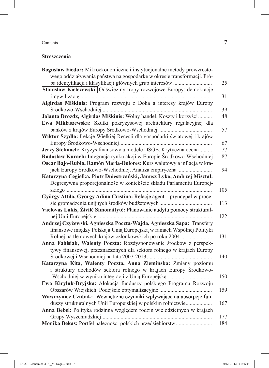## **Streszczenia**

| Bogusław Fiedor: Mikroekonomiczne i instytucjonalne metody prowzrosto-   |     |
|--------------------------------------------------------------------------|-----|
| wego oddziaływania państwa na gospodarkę w okresie transformacji. Pró-   |     |
| ba identyfikacji i klasyfikacji głównych grup interesów                  | 25  |
| Stanisław Kiełczewski: Odświeżmy tropy rozwojowe Europy: demokrację      |     |
|                                                                          | 31  |
| Algirdas Miškinis: Program rozwoju z Doha a interesy krajów Europy       |     |
|                                                                          | 39  |
| Jolanta Drozdz, Algirdas Miškinis: Wolny handel. Koszty i korzyści       | 48  |
| Ewa Miklaszewska: Skutki pokryzysowej architektury regulacyjnej dla      |     |
|                                                                          | 57  |
| Wiktor Szydło: Lekcje Wielkiej Recesji dla gospodarki światowej i krajów |     |
|                                                                          | 67  |
| Jerzy Stelmach: Kryzys finansowy a modele DSGE. Krytyczna ocena          | 77  |
| Radosław Kurach: Integracja rynku akcji w Europie Środkowo-Wschodniej    | 87  |
| Oscar Bajo-Rubio, Ramón María-Dolores: Kurs walutowy a inflacja w kra-   |     |
| jach Europy Środkowo-Wschodniej. Analiza empiryczna                      | 94  |
| Katarzyna Cegiełka, Piotr Dniestrzański, Janusz Łyko, Andrzej Misztal:   |     |
| Degresywna proporcjonalność w kontekście składu Parlamentu Europej-      |     |
|                                                                          | 105 |
| György Attila, György Adina Cristina: Relacje agent - pryncypał w proce- |     |
|                                                                          | 113 |
| Vaclovas Lakis, Živilė Simonaitytė: Planowanie audytu pomocy struktural- |     |
|                                                                          | 122 |
| Andrzej Czyżewski, Agnieszka Poczta-Wajda, Agnieszka Sapa: Transfery     |     |
| finansowe między Polską a Unią Europejską w ramach Wspólnej Polityki     |     |
| Rolnej na tle nowych krajów członkowskich po roku 2004                   | 131 |
| Anna Fabisiak, Walenty Poczta: Rozdysponowanie środków z perspek-        |     |
| tywy finansowej, przeznaczonych dla sektora rolnego w krajach Europy     |     |
|                                                                          | 140 |
| Katarzyna Kita, Walenty Poczta, Anna Ziemińska: Zmiany poziomu           |     |
| i struktury dochodów sektora rolnego w krajach Europy Środkowo-          |     |
| -Wschodniej w wyniku integracji z Unią Europejską                        | 150 |
| Ewa Kiryluk-Dryjska: Alokacja funduszy polskiego Programu Rozwoju        |     |
| Obszarów Wiejskich. Podejście optymalizacyjne                            | 159 |
| Wawrzyniec Czubak: Wewnętrzne czynniki wpływające na absorpcję fun-      |     |
| duszy strukturalnych Unii Europejskiej w polskim rolnictwie              | 167 |
| Anna Bebel: Polityka rodzinna względem rodzin wielodzietnych w krajach   |     |
|                                                                          | 177 |
|                                                                          | 184 |